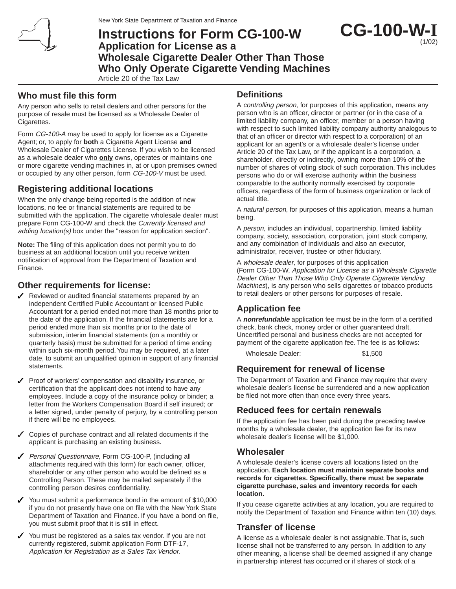

# **Instructions for Form CG-100-W Application for License as a Wholesale Cigarette Dealer Other Than Those Who Only Operate Cigarette Vending Machines**

Article 20 of the Tax Law

### **Who must file this form**

Any person who sells to retail dealers and other persons for the purpose of resale must be licensed as a Wholesale Dealer of Cigarettes.

Form CG-100-A may be used to apply for license as a Cigarette Agent; or, to apply for **both** a Cigarette Agent License **and** Wholesale Dealer of Cigarettes License. If you wish to be licensed as a wholesale dealer who **only** owns, operates or maintains one or more cigarette vending machines in, at or upon premises owned or occupied by any other person, form CG-100-V must be used.

# **Registering additional locations**

When the only change being reported is the addition of new locations, no fee or financial statements are required to be submitted with the application. The cigarette wholesale dealer must prepare Form CG-100-W and check the Currently licensed and adding location(s) box under the "reason for application section".

**Note:** The filing of this application does not permit you to do business at an additional location until you receive written notification of approval from the Department of Taxation and Finance.

## **Other requirements for license:**

- $\sqrt{\phantom{a}}$  Reviewed or audited financial statements prepared by an independent Certified Public Accountant or licensed Public Accountant for a period ended not more than 18 months prior to the date of the application. If the financial statements are for a period ended more than six months prior to the date of submission, interim financial statements (on a monthly or quarterly basis) must be submitted for a period of time ending within such six-month period. You may be required, at a later date, to submit an unqualified opinion in support of any financial statements.
- $\triangledown$  Proof of workers' compensation and disability insurance, or certification that the applicant does not intend to have any employees. Include a copy of the insurance policy or binder; a letter from the Workers Compensation Board if self insured; or a letter signed, under penalty of perjury, by a controlling person if there will be no employees.
- $\checkmark$  Copies of purchase contract and all related documents if the applicant is purchasing an existing business.
- ◆ Personal Questionnaire, Form CG-100-P, (including all attachments required with this form) for each owner, officer, shareholder or any other person who would be defined as a Controlling Person. These may be mailed separately if the controlling person desires confidentiality.
- You must submit a performance bond in the amount of  $$10,000$ if you do not presently have one on file with the New York State Department of Taxation and Finance. If you have a bond on file, you must submit proof that it is still in effect.
- You must be registered as a sales tax vendor. If you are not currently registered, submit application Form DTF-17, Application for Registration as a Sales Tax Vendor.

## **Definitions**

A controlling person, for purposes of this application, means any person who is an officer, director or partner (or in the case of a limited liability company, an officer, member or a person having with respect to such limited liability company authority analogous to that of an officer or director with respect to a corporation) of an applicant for an agent's or a wholesale dealer's license under Article 20 of the Tax Law, or if the applicant is a corporation, a shareholder, directly or indirectly, owning more than 10% of the number of shares of voting stock of such corporation. This includes persons who do or will exercise authority within the business comparable to the authority normally exercised by corporate officers, regardless of the form of business organization or lack of actual title.

**CG-100-W-I**

(1/02)

A natural person, for purposes of this application, means a human being.

A person, includes an individual, copartnership, limited liability company, society, association, corporation, joint stock company, and any combination of individuals and also an executor, administrator, receiver, trustee or other fiduciary.

A wholesale dealer, for purposes of this application (Form CG-100-W, Application for License as a Wholesale Cigarette Dealer Other Than Those Who Only Operate Cigarette Vending Machines), is any person who sells cigarettes or tobacco products to retail dealers or other persons for purposes of resale.

# **Application fee**

A **nonrefundable** application fee must be in the form of a certified check, bank check, money order or other guaranteed draft. Uncertified personal and business checks are not accepted for payment of the cigarette application fee. The fee is as follows:

Wholesale Dealer: \$1,500

### **Requirement for renewal of license**

The Department of Taxation and Finance may require that every wholesale dealer's license be surrendered and a new application be filed not more often than once every three years.

## **Reduced fees for certain renewals**

If the application fee has been paid during the preceding twelve months by a wholesale dealer, the application fee for its new wholesale dealer's license will be \$1,000.

### **Wholesaler**

A wholesale dealer's license covers all locations listed on the application. **Each location must maintain separate books and records for cigarettes. Specifically, there must be separate cigarette purchase, sales and inventory records for each location.**

If you cease cigarette activities at any location, you are required to notify the Department of Taxation and Finance within ten (10) days.

## **Transfer of license**

A license as a wholesale dealer is not assignable. That is, such license shall not be transferred to any person. In addition to any other meaning, a license shall be deemed assigned if any change in partnership interest has occurred or if shares of stock of a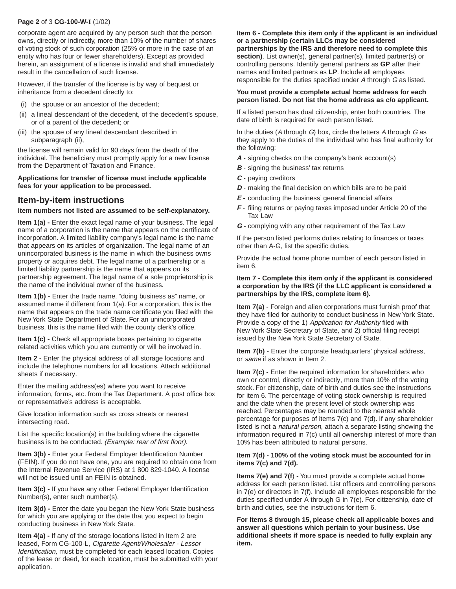#### **Page 2** of 3 **CG-100-W-I** (1/02)

corporate agent are acquired by any person such that the person owns, directly or indirectly, more than 10% of the number of shares of voting stock of such corporation (25% or more in the case of an entity who has four or fewer shareholders). Except as provided herein, an assignment of a license is invalid and shall immediately result in the cancellation of such license.

However, if the transfer of the license is by way of bequest or inheritance from a decedent directly to:

- (i) the spouse or an ancestor of the decedent;
- (ii) a lineal descendant of the decedent, of the decedent's spouse, or of a parent of the decedent; or
- (iii) the spouse of any lineal descendant described in subparagraph (ii),

the license will remain valid for 90 days from the death of the individual. The beneficiary must promptly apply for a new license from the Department of Taxation and Finance.

#### **Applications for transfer of license must include applicable fees for your application to be processed.**

### **Item-by-item instructions**

#### **Item numbers not listed are assumed to be self-explanatory.**

**Item 1(a) -** Enter the exact legal name of your business. The legal name of a corporation is the name that appears on the certificate of incorporation. A limited liability company's legal name is the name that appears on its articles of organization. The legal name of an unincorporated business is the name in which the business owns property or acquires debt. The legal name of a partnership or a limited liability partnership is the name that appears on its partnership agreement. The legal name of a sole proprietorship is the name of the individual owner of the business.

**Item 1(b) -** Enter the trade name, "doing business as" name, or assumed name if different from 1(a). For a corporation, this is the name that appears on the trade name certificate you filed with the New York State Department of State. For an unincorporated business, this is the name filed with the county clerk's office.

**Item 1(c) -** Check all appropriate boxes pertaining to cigarette related activities which you are currently or will be involved in.

**Item 2 -** Enter the physical address of all storage locations and include the telephone numbers for all locations. Attach additional sheets if necessary.

Enter the mailing address(es) where you want to receive information, forms, etc. from the Tax Department. A post office box or representative's address is acceptable.

Give location information such as cross streets or nearest intersecting road.

List the specific location(s) in the building where the cigarette business is to be conducted. (Example: rear of first floor).

**Item 3(b) - Enter your Federal Employer Identification Number** (FEIN). If you do not have one, you are required to obtain one from the Internal Revenue Service (IRS) at 1 800 829-1040. A license will not be issued until an FEIN is obtained.

**Item 3(c) -** If you have any other Federal Employer Identification Number(s), enter such number(s).

**Item 3(d) - Enter the date you began the New York State business** for which you are applying or the date that you expect to begin conducting business in New York State.

**Item 4(a) -** If any of the storage locations listed in Item 2 are leased, Form CG-100-L, Cigarette Agent/Wholesaler - Lessor Identification, must be completed for each leased location. Copies of the lease or deed, for each location, must be submitted with your application.

**Item 6** - **Complete this item only if the applicant is an individual or a partnership (certain LLCs may be considered**

**partnerships by the IRS and therefore need to complete this** section). List owner(s), general partner(s), limited partner(s) or controlling persons. Identify general partners as **GP** after their names and limited partners as **LP**. Include all employees responsible for the duties specified under A through G as listed.

#### **You must provide a complete actual home address for each person listed. Do not list the home address as c/o applicant.**

If a listed person has dual citizenship, enter both countries. The date of birth is required for each person listed.

In the duties (A through  $G$ ) box, circle the letters A through  $G$  as they apply to the duties of the individual who has final authority for the following:

- **A** signing checks on the company's bank account(s)
- **B** signing the business' tax returns
- **C** paying creditors
- **D** making the final decision on which bills are to be paid
- **E** conducting the business' general financial affairs
- **F** filing returns or paying taxes imposed under Article 20 of the Tax Law
- **G** complying with any other requirement of the Tax Law

If the person listed performs duties relating to finances or taxes other than A-G, list the specific duties.

Provide the actual home phone number of each person listed in item 6.

#### **Item 7** - **Complete this item only if the applicant is considered a corporation by the IRS (if the LLC applicant is considered a partnerships by the IRS, complete item 6).**

**Item 7(a)** - Foreign and alien corporations must furnish proof that they have filed for authority to conduct business in New York State. Provide a copy of the 1) Application for Authority filed with New York State Secretary of State, and 2) official filing receipt issued by the New York State Secretary of State.

**Item 7(b)** - Enter the corporate headquarters' physical address, or same if as shown in Item 2.

**Item 7(c)** - Enter the required information for shareholders who own or control, directly or indirectly, more than 10% of the voting stock. For citizenship, date of birth and duties see the instructions for item 6. The percentage of voting stock ownership is required and the date when the present level of stock ownership was reached. Percentages may be rounded to the nearest whole percentage for purposes of items 7(c) and 7(d). If any shareholder listed is not a *natural person*, attach a separate listing showing the information required in 7(c) until all ownership interest of more than 10% has been attributed to natural persons.

#### **Item 7(d) - 100% of the voting stock must be accounted for in items 7(c) and 7(d).**

**Items 7(e) and 7(f**) - You must provide a complete actual home address for each person listed. List officers and controlling persons in 7(e) or directors in 7(f). Include all employees responsible for the duties specified under A through G in 7(e). For citizenship, date of birth and duties, see the instructions for item 6.

**For Items 8 through 15, please check all applicable boxes and answer all questions which pertain to your business. Use additional sheets if more space is needed to fully explain any item.**